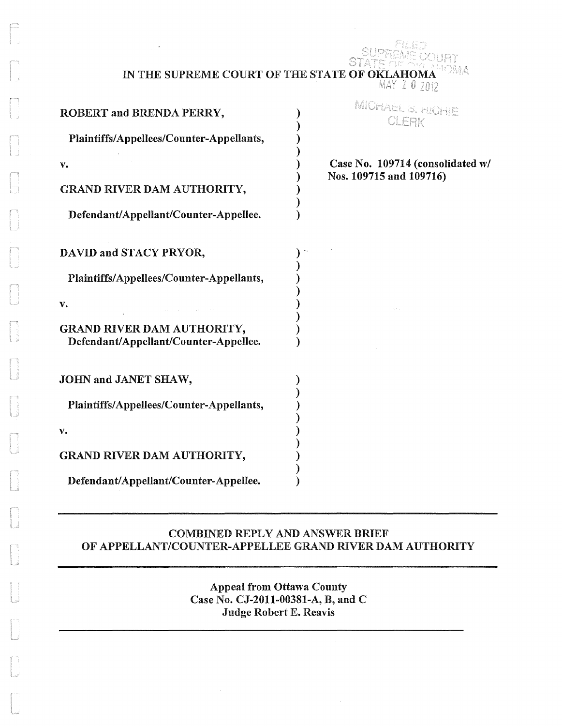| IN THE SUPREME COURT OF THE STATE OF OKLAHOMA | SUPREME COURT<br>$MAX \& 0,2012$ |
|-----------------------------------------------|----------------------------------|
| <b>ROBERT and BRENDA PERRY,</b>               | MICHAEL S. HICHIE                |
| Plaintiffs/Appellees/Counter-Appellants,      | CLERK                            |
| v.                                            | Case No. 109714 (consolidated w/ |
| <b>GRAND RIVER DAM AUTHORITY,</b>             | Nos. 109715 and 109716)          |

Pile

) )

)

)

)

)

)

)

)

Plaintiffs/Appellees/Counter-Appellants, ) **v.** ) GRAND RIVER DAM AUTHORITY,

DAVID and STACY PRYOR,  $\qquad \qquad$ )

Defendant/Appellant/Counter-Appellee.

Defendant/Appellant/Counter-Appellee. )

Plaintiffs/Appellees/Counter-Appellants, )

JOHN and JANET SHAW,

 $\mathbf{v}$ .

GRAND RIVER DAM AUTHORITY,

Defendant/Appellant/Counter-Appellee.

### COMBINED REPLY AND ANSWER BRIEF OF APPELLANT/COUNTER-APPELLEE GRAND RIVER DAM AUTHORITY

Appeal from Ottawa County Case No. CJ-2011-00381-A, B, and C Judge Robert E. Reavis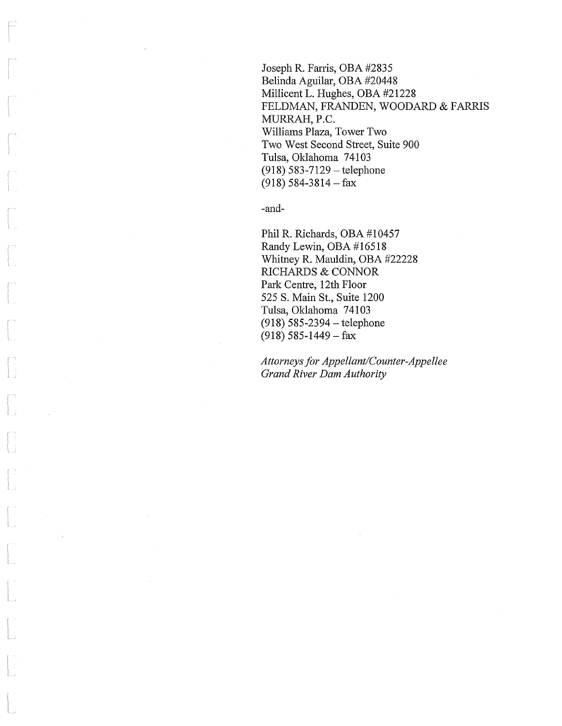Joseph R. Farris, OBA #2835 Belinda Aguilar, OBA #20448 Millicent L. Hughes, OBA #21228 FELDMAN, FRANDEN, WOODARD & FARRIS MURRAH, P.C. Williams Plaza, Tower Two Two West Second Street, Suite 900 Tulsa, Oklahoma 74103  $(918) 583 - 7129 -$ telephone  $(918)$  584-3814 - fax

-and-

Phil R. Richards, OBA #10457 Randy Lewin, OBA #16518 Whitney R. Mauldin, OBA #22228 RICHARDS & CONNOR Park Centre, 12th Floor 525 S. Main St., Suite 1200 Tulsa, Oklahoma 74103 (918) 585-2394 - telephone  $(918)$  585-1449 - fax

*Attorneys for Appellant/Counter-Appellee Grand River Dam Authority*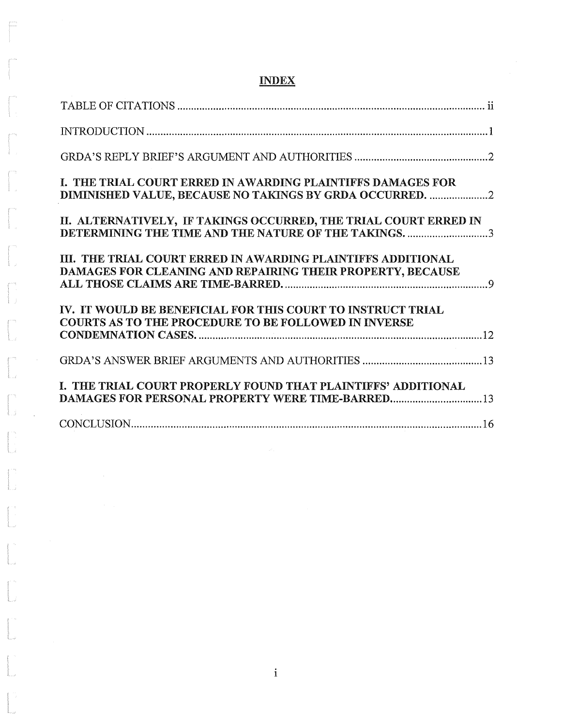| I. THE TRIAL COURT ERRED IN AWARDING PLAINTIFFS DAMAGES FOR<br>DIMINISHED VALUE, BECAUSE NO TAKINGS BY GRDA OCCURRED.      |
|----------------------------------------------------------------------------------------------------------------------------|
| II. ALTERNATIVELY, IF TAKINGS OCCURRED, THE TRIAL COURT ERRED IN<br>DETERMINING THE TIME AND THE NATURE OF THE TAKINGS. 3  |
| III. THE TRIAL COURT ERRED IN AWARDING PLAINTIFFS ADDITIONAL<br>DAMAGES FOR CLEANING AND REPAIRING THEIR PROPERTY, BECAUSE |
| IV. IT WOULD BE BENEFICIAL FOR THIS COURT TO INSTRUCT TRIAL<br><b>COURTS AS TO THE PROCEDURE TO BE FOLLOWED IN INVERSE</b> |
|                                                                                                                            |
| I. THE TRIAL COURT PROPERLY FOUND THAT PLAINTIFFS' ADDITIONAL                                                              |
|                                                                                                                            |

# INDEX

 $\begin{tabular}{|c|c|} \hline \quad \quad & \quad \quad & \quad \quad \\ \hline \quad \quad & \quad \quad & \quad \quad \\ \hline \quad \quad & \quad \quad & \quad \quad \\ \hline \quad \quad & \quad \quad & \quad \quad \\ \hline \quad \quad & \quad \quad & \quad \quad \\ \hline \end{tabular}$ 

 $\begin{bmatrix} \phantom{-} \\ \phantom{-} \\ \phantom{-} \\ \phantom{-} \end{bmatrix}$ 

 $\begin{bmatrix} 1 & 1 \\ 1 & 1 \\ 1 & 1 \end{bmatrix}$ 

 $\begin{bmatrix} 1 & 1 \\ 1 & 1 \\ 1 & 1 \end{bmatrix}$ 

 $\int_{\mathbb{R}^d}$ 

 $\begin{bmatrix} 1 \\ 1 \\ 0 \end{bmatrix}$ 

i<br>Tanzania<br>Tanzania

 $\begin{bmatrix} 1 & 0 & 0 \\ 0 & 0 & 0 \\ 0 & 0 & 0 \\ 0 & 0 & 0 \\ 0 & 0 & 0 \\ 0 & 0 & 0 \\ 0 & 0 & 0 \\ 0 & 0 & 0 \\ 0 & 0 & 0 \\ 0 & 0 & 0 \\ 0 & 0 & 0 \\ 0 & 0 & 0 \\ 0 & 0 & 0 \\ 0 & 0 & 0 \\ 0 & 0 & 0 \\ 0 & 0 & 0 & 0 \\ 0 & 0 & 0 & 0 \\ 0 & 0 & 0 & 0 \\ 0 & 0 & 0 & 0 \\ 0 & 0 & 0 & 0 \\ 0 & 0 & 0 & 0 & 0 \\ 0 &$ 

L

 $\mathbb{F}^2$ t

 $\begin{bmatrix} 1 & 1 \\ 1 & 1 \\ 1 & 1 \end{bmatrix}$ 

 $\begin{bmatrix} 1 & 1 \\ 1 & 1 \\ 1 & 1 \end{bmatrix}$ 

f. " L

f L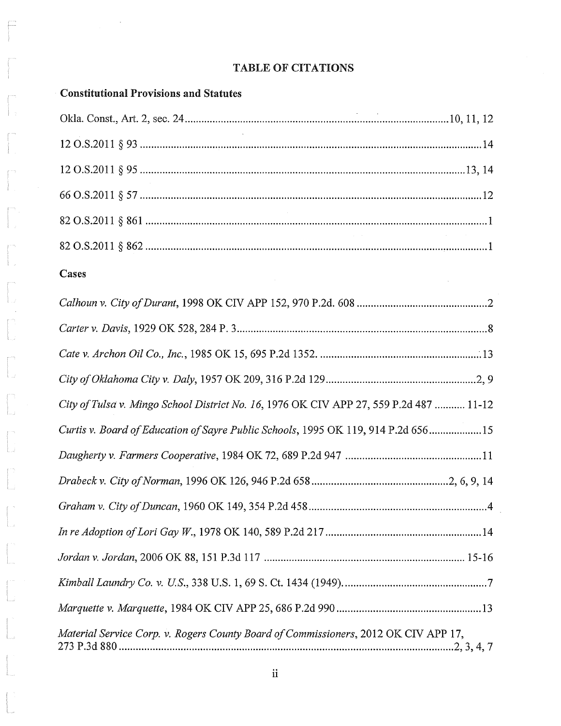### TABLE OF CITATIONS

## Constitutional Provisions and Statutes

 $\bar{z}$ 

### Cases

 $\Box$ 

j.

| City of Tulsa v. Mingo School District No. 16, 1976 OK CIV APP 27, 559 P.2d 487  11-12 |
|----------------------------------------------------------------------------------------|
| Curtis v. Board of Education of Sayre Public Schools, 1995 OK 119, 914 P.2d 65615      |
|                                                                                        |
|                                                                                        |
|                                                                                        |
|                                                                                        |
|                                                                                        |
|                                                                                        |
|                                                                                        |
| Material Service Corp. v. Rogers County Board of Commissioners, 2012 OK CIV APP 17,    |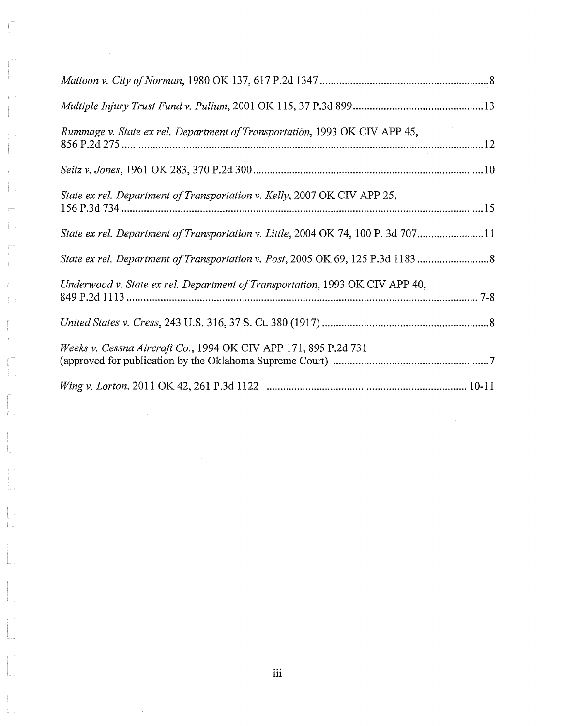| Rummage v. State ex rel. Department of Transportation, 1993 OK CIV APP 45,        |
|-----------------------------------------------------------------------------------|
|                                                                                   |
| State ex rel. Department of Transportation v. Kelly, 2007 OK CIV APP 25,          |
| State ex rel. Department of Transportation v. Little, 2004 OK 74, 100 P. 3d 70711 |
| State ex rel. Department of Transportation v. Post, 2005 OK 69, 125 P.3d 11838    |
| Underwood v. State ex rel. Department of Transportation, 1993 OK CIV APP 40,      |
|                                                                                   |
| Weeks v. Cessna Aircraft Co., 1994 OK CIV APP 171, 895 P.2d 731                   |
|                                                                                   |

 $\begin{array}{|c|c|} \hline \quad \quad & \quad \quad & \quad \quad & \quad \quad \\ \hline \quad \quad & \quad \quad & \quad \quad & \quad \quad \\ \hline \quad \quad & \quad \quad & \quad \quad \\ \hline \end{array}$ 

 $\begin{array}{c} \begin{array}{c} \begin{array}{c} \begin{array}{c} \end{array} \\ \begin{array}{c} \end{array} \end{array} \end{array} \end{array}$ 

 $\begin{bmatrix} 1 & 0 & 0 \\ 0 & 1 & 0 \\ 0 & 0 & 0 \\ 0 & 0 & 0 \\ 0 & 0 & 0 \\ 0 & 0 & 0 \\ 0 & 0 & 0 \\ 0 & 0 & 0 \\ 0 & 0 & 0 \\ 0 & 0 & 0 \\ 0 & 0 & 0 \\ 0 & 0 & 0 \\ 0 & 0 & 0 \\ 0 & 0 & 0 \\ 0 & 0 & 0 \\ 0 & 0 & 0 \\ 0 & 0 & 0 & 0 \\ 0 & 0 & 0 & 0 \\ 0 & 0 & 0 & 0 \\ 0 & 0 & 0 & 0 \\ 0 & 0 & 0 & 0 \\ 0 & 0 & 0 &$ 

 $\begin{bmatrix} 1 & 1 \\ 1 & 1 \\ 1 & 1 \end{bmatrix}$ 

 $\mathbb{I}$ .

I.,

Į.,

 $\begin{bmatrix} 1 \\ 1 \\ 1 \\ 1 \end{bmatrix}$ 

 $\begin{picture}(20,20) \put(0,0){\line(1,0){150}} \put(15,0){\line(1,0){150}} \put(15,0){\line(1,0){150}} \put(15,0){\line(1,0){150}} \put(15,0){\line(1,0){150}} \put(15,0){\line(1,0){150}} \put(15,0){\line(1,0){150}} \put(15,0){\line(1,0){150}} \put(15,0){\line(1,0){150}} \put(15,0){\line(1,0){150}} \put(15,0){\line(1,0){150}} \$ 

 $\begin{bmatrix} 1 & 1 \\ 1 & 1 \\ 1 & 1 \end{bmatrix}$ 

L,

 $\frac{1}{2}$  ,  $\frac{1}{2}$  ,  $\frac{1}{2}$ 

 $\frac{1}{2}$ 

 $\ddot{\phantom{a}}$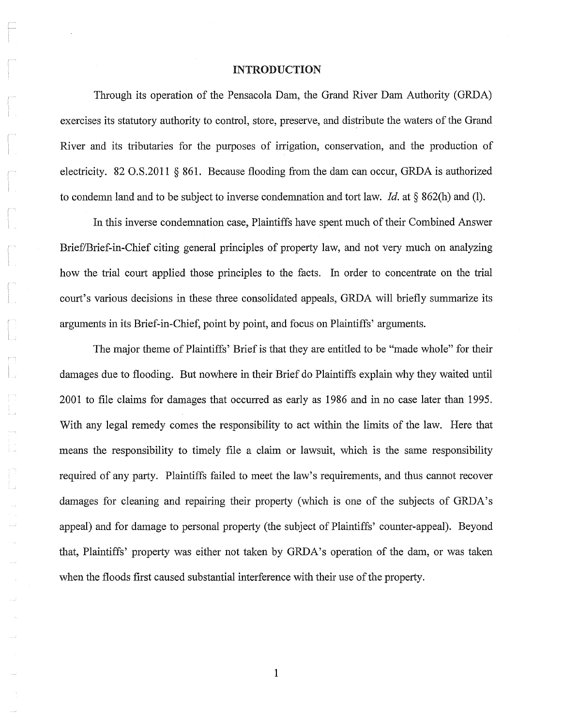#### INTRODUCTION

Through its operation of the Pensacola Dam, the Grand River Dam Authority (GRDA) exercises its statutory authority to control, store, preserve, and distribute the waters of the Grand River and its tributaries for the purposes of irrigation, conservation, and the production of electricity. 82 0.S.2011 § 861. Because flooding from the dam can occur, GRDA is authorized to condemn land and to be subject to inverse condemnation and tort law. *Id.* at § 862(h) and (1).

In this inverse condemnation case, Plaintiffs have spent much of their Combined Answer Brief/Brief-in-Chief citing general principles of property law, and not very much on analyzing how the trial court applied those principles to the facts. In order to concentrate on the trial court's various decisions in these three consolidated appeals, GRDA will briefly summarize its arguments in its Brief-in-Chief, point by point, and focus on Plaintiffs' arguments.

The major theme of Plaintiffs' Brief is that they are entitled to be "made whole" for their damages due to flooding. But nowhere in their Brief do Plaintiffs explain why they waited until 2001 to file claims for damages that occurred as early as 1986 and in no case later than 1995. With any legal remedy comes the responsibility to act within the limits of the law. Here that means the responsibility to timely file a claim or lawsuit, which is the same responsibility required of any party. Plaintiffs failed to meet the law's requirements, and thus cannot recover damages for cleaning and repairing their property (which is one of the subjects of GRDA's appeal) and for damage to personal property (the subject of Plaintiffs' counter-appeal). Beyond that, Plaintiffs' property was either not taken by GRDA's operation of the dam, or was taken when the floods first caused substantial interference with their use of the property.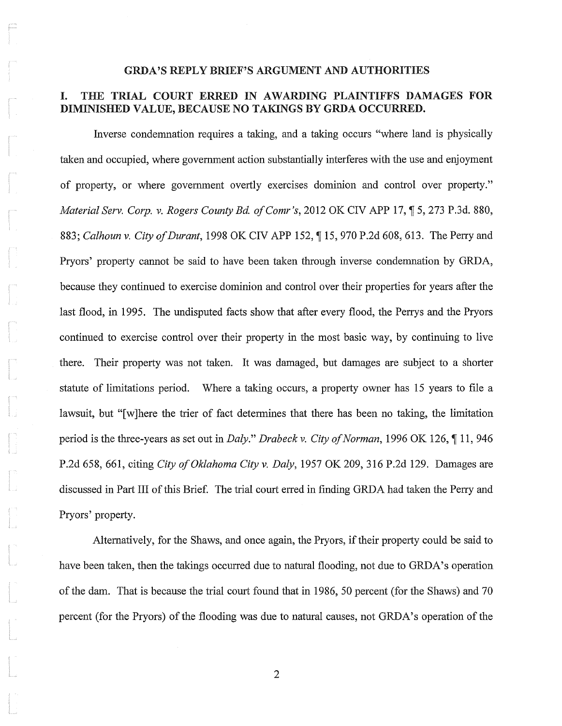#### GRDA'S REPLY BRIEF'S ARGUMENT AND AUTHORITIES

### I. THE TRIAL COURT ERRED IN AWARDING PLAINTIFFS DAMAGES FOR DIMINISHED VALUE, BECAUSE NO TAKINGS BY GRDA OCCURRED.

Inverse condemnation requires a taking, and a taking occurs "where land is physically taken and occupied, where government action substantially interferes with the use and enjoyment of property, or where government overtly exercises dominion and control over property." *Material Serv. Corp. v. Rogers County Bd. of Comr's, 2012 OK CIV APP 17, ¶ 5, 273 P.3d. 880,* 883; *Calhoun v. City of Durant*, 1998 OK CIV APP 152, 115, 970 P.2d 608, 613. The Perry and Pryors' property cannot be said to have been taken through inverse condemnation by GRDA, because they continued to exercise dominion and control over their properties for years after the last flood, in 1995. The undisputed facts show that after every flood, the Perrys and the Pryors continued to exercise control over their property in the most basic way, by continuing to live there. Their property was not taken. It was damaged, but damages are subject to a shorter statute of limitations period. Where a taking occurs, a property owner has 15 years to file a lawsuit, but "[w]here the trier of fact determines that there has been no taking, the limitation period is the three-years as set out in *Daly.*" *Drabeck v. City of Norman*, 1996 OK 126, 11, 946 P.2d 658,661, citing *City a/Oklahoma City* v. *Daly,* 1957 OK 209,316 P.2d 129. Damages are discussed in Part III of this Brief. The trial court erred in finding GRDA had taken the Perry and Pryors' property.

Alternatively, for the Shaws, and once again, the Pryors, if their property could be said to have been taken, then the takings occurred due to natural flooding, not due to GRDA's operation of the dam. That is because the trial court found that in 1986, 50 percent (for the Shaws) and 70 percent (for the Pryors) of the flooding was due to natural causes, not GRDA's operation of the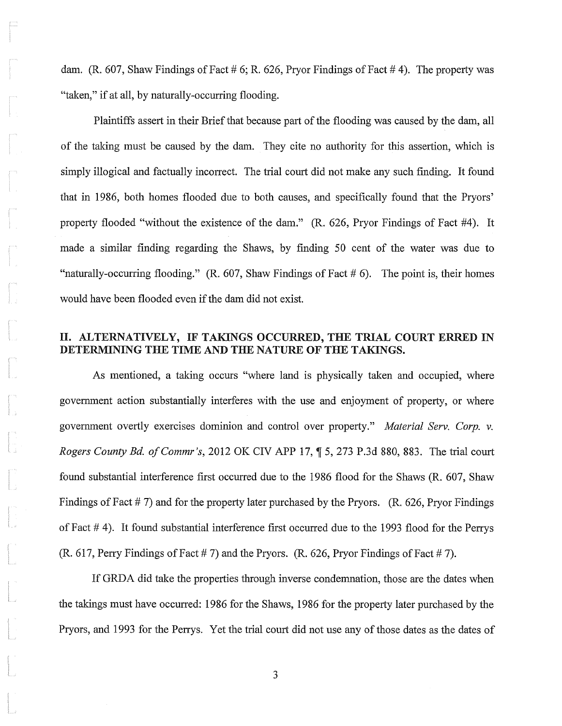dam. (R, 607, Shaw Findings of Fact # 6; R, 626, Pryor Findings of Fact # 4). The property was "taken," if at all, by naturally-occurring flooding.

Plaintiffs assert in their Brief that because part of the flooding was caused by the dam, all of the taking must be caused by the dam. They cite no authority for this assertion, which is simply illogical and factually incorrect. The trial court did not make any such finding. It found that in 1986, both homes flooded due to both causes, and specifically found that the Pryors' property flooded "without the existence of the dam." (R. 626, Pryor Findings of Fact #4). It made a similar finding regarding the Shaws, by finding 50 cent of the water was due to "naturally-occurring flooding." (R. 607, Shaw Findings of Fact  $# 6$ ). The point is, their homes would have been flooded even if the dam did not exist.

### II. ALTERNATIVELY, IF TAKINGS OCCURRED, THE TRIAL COURT ERRED IN DETERMINING THE TIME AND THE NATURE OF THE TAKINGS.

As mentioned, a taking occurs "where land is physically taken and occupied, where government action substantially interferes with the use and enjoyment of property, or where government overtly exercises dominion and control over property." *Material Serv. Corp. v. Rogers County Bd. of Commr's, 2012 OK CIV APP 17, ¶ 5, 273 P.3d 880, 883. The trial court* found substantial interference first occurred due to the 1986 flood for the Shaws (R. 607, Shaw Findings of Fact # 7) and for the property later purchased by the Pryors. (R. 626, Pryor Findings of Fact  $#$  4). It found substantial interference first occurred due to the 1993 flood for the Perrys (R. 617, Perry Findings of Fact # 7) and the Pryors. (R. 626, Pryor Findings of Fact # 7).

If GRDA did take the properties through inverse condemnation, those are the dates when the takings must have occurred: 1986 for the Shaws, 1986 for the property later purchased by the Pryors, and 1993 for the Perrys. Yet the trial court did not use any of those dates as the dates of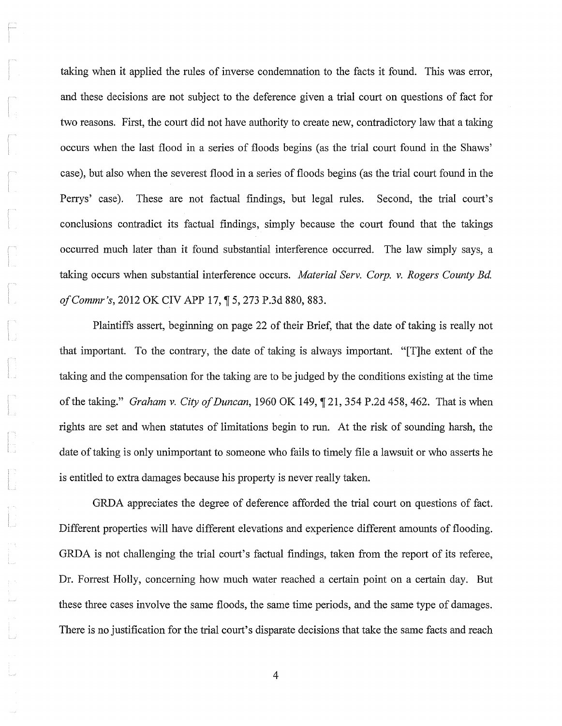taking when it applied the rules of inverse condemnation to the facts it found. This was error, and these decisions are not subject to the deference given a trial court on questions of fact for two reasons. First, the court did not have authority to create new, contradictory law that a taking occurs when the last flood in a series of floods begins (as the trial court found in the Shaws' case), but also when the severest flood in a series of floods begins (as the trial court found in the Perrys' case). These are not factual findings, but legal rules. Second, the trial court's conclusions contradict its factual findings, simply because the court found that the takings occurred much later than it found substantial interference occurred. The law simply says, a taking occurs when substantial interference occurs. *Material Serv. Corp. v. Rogers County Bd. of Commr's, 2012 OK CIV APP 17, ¶ 5, 273 P.3d 880, 883.* 

Plaintiffs assert, beginning on page 22 of their Brief, that the date of taking is really not that important. To the contrary, the date of taking is always important. "[T]he extent of the taking and the compensation for the taking are to be judged by the conditions existing at the time of the taking." *Graham v. City of Duncan*, 1960 OK 149, ¶ 21, 354 P.2d 458, 462. That is when rights are set and when statutes of limitations begin to run. At the risk of sounding harsh, the date of taking is only unimportant to someone who fails to timely file a lawsuit or who asserts he is entitled to extra damages because his property is never really taken.

GRDA appreciates the degree of deference afforded the trial court on questions of fact. Different properties will have different elevations and experience different amounts of flooding. GRDA is not challenging the trial court's factual findings, taken from the report of its referee, Dr. Forrest Holly, concerning how much water reached a certain point on a certain day. But these three cases involve the same floods, the same time periods, and the same type of damages. There is no justification for the trial court's disparate decisions that take the same facts and reach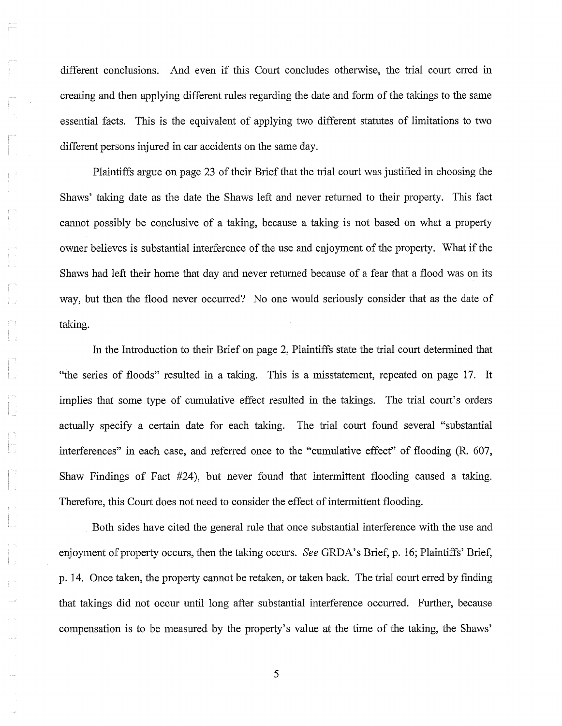different conclusions. And even if this Court concludes otherwise, the trial court erred in creating and then applying different rules regarding the date and form of the takings to the same essential facts. This is the equivalent of applying two different statutes of limitations to two different persons injured in car accidents on the same day.

Plaintiffs argue on page 23 of their Brief that the trial court was justified in choosing the Shaws' taking date as the date the Shaws left and never returned to their property. This fact cannot possibly be conclusive of a taking, because a taking is not based on what a property owner believes is substantial interference of the use and enjoyment of the property. What if the Shaws had left their home that day and never returned because of a fear that a flood was on its way, but then the flood never occurred? No one would seriously consider that as the date of taking.

In the Introduction to their Brief on page 2, Plaintiffs state the trial court determined that "the series of floods" resulted in a taking. This is a misstatement, repeated on page 17. It implies that some type of cumulative effect resulted in the takings. The trial court's orders actually specify a certain date for each taking. The trial court found several "substantial interferences" in each case, and referred once to the "cumulative effect" of flooding (R. 607, Shaw Findings of Fact  $#24$ ), but never found that intermittent flooding caused a taking. Therefore, this Court does not need to consider the effect of intermittent flooding.

Both sides have cited the general rule that once substantial interference with the use and enjoyment of property occurs, then the taking occurs. *See GRDA*'s Brief, p. 16; Plaintiffs' Brief, p. 14. Once talcen, the property cannot be retaken, or taken back. The trial court erred by finding that takings did not occur until long after substantial interference occurred. Further, because compensation is to be measured by the property's value at the time of the taking, the Shaws'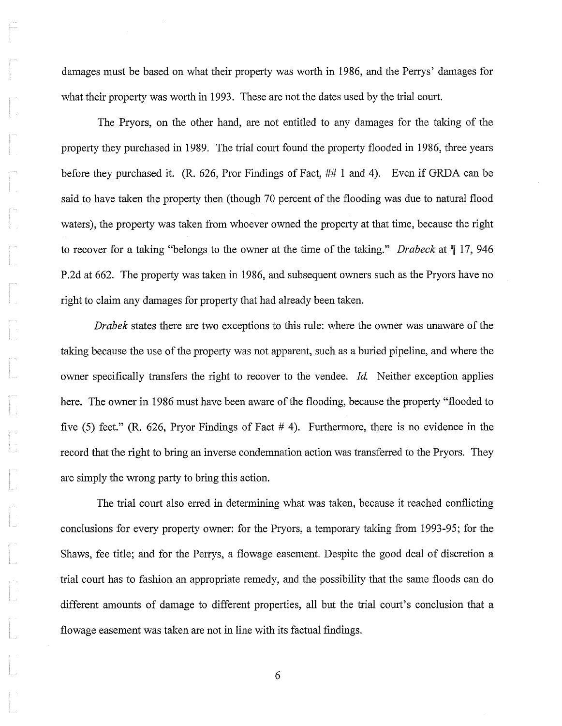damages must be based on what their property was worth in 1986, and the Perrys' damages for what their property was worth in 1993. These are not the dates used by the trial court.

The Pryors, on the other hand, are not entitled to any damages for the taking of the property they purchased in 1989. The trial court found the property flooded in 1986, three years before they purchased it. (R. 626, Pror Findings of Fact, ## 1 and 4). Even if GRDA can be said to have taken the property then (though 70 percent of the flooding was due to natural flood waters), the property was taken from whoever owned the property at that time, because the right to recover for a taking "belongs to the owner at the time of the taking." *Drabeck* at  $\llbracket$  17, 946 P.2d at 662. The property was taken in 1986, and subsequent owners such as the Pryors have no right to claim any damages for property that had already been taken.

*Drabek* states there are two exceptions to this rule: where the owner was unaware of the taking because the use of the property was not apparent, such as a buried pipeline, and where the owner specifically transfers the right to recover to the vendee. *Id.* Neither exception applies here. The owner in 1986 must have been aware of the flooding, because the property "flooded to five (5) feet." (R. 626, Pryor Findings of Fact # 4). Furthermore, there is no evidence in the record that the right to bring an inverse condemnation action was transferred to the Pryors. They are simply the wrong party to bring this action.

The trial court also erred in determining what was taken, because it reached conflicting conclusions for every property owner: for the Pryors, a temporary taking from 1993-95; for the Shaws, fee title; and for the Perrys, a flowage easement. Despite the good deal of discretion a trial court has to fashion an appropriate remedy, and the possibility that the same floods can do different amounts of damage to different properties, all but the trial court's conclusion that a flowage easement was taken are not in line with its factual findings.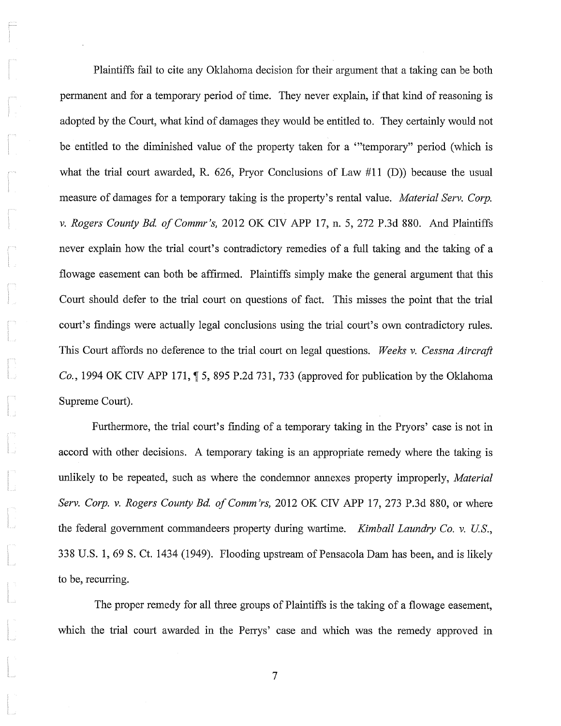Plaintiffs fail to cite any Oklahoma decision for their argument that a taking can be both permanent and for a temporary period of time. They never explain, if that kind of reasoning is adopted by the Court, what kind of damages they would be entitled to. They certainly would not be entitled to the diminished value of the property taken for a "temporary" period (which is what the trial court awarded, R. 626, Pryor Conclusions of Law  $\#11$  (D)) because the usual measure of damages for a temporary taking is the property's rental value. *Material Serv, Corp.* v. *Rogers County Bd. of Commr's,* 2012 OK CIV APP 17, n. 5, 272 P.3d 880. And Plaintiffs never explain how the trial court's contradictory remedies of a full taking and the taking of a flowage easement can both be affirmed. Plaintiffs simply make the general argument that this Court should defer to the trial court on questions of fact. This misses the point that the trial court's findings were actually legal conclusions using the trial court's own contradictory rules. This Court affords no deference to the trial court on legal questions. *Weeks* v. *Cessna Aircraft Co.*, 1994 OK CIV APP 171, 1 5, 895 P.2d 731, 733 (approved for publication by the Oklahoma Supreme Court).

Furthermore, the trial court's finding of a temporary taking in the Pryors' case is not in accord with other decisions. A temporary taking is an appropriate remedy where the taking is unlikely to be repeated, such as where the condemnor annexes property improperly, *Material Serv. Corp. v. Rogers County Bd. of Comm'rs, 2012 OK CIV APP 17, 273 P.3d 880, or where* the federal government commandeers property during wartime. *Kimball Laundry Co.* v. *US.,*  338 U.S. 1,69 S. Ct. 1434 (1949). Flooding upstream of Pensacola Dam has been, and is likely to be, recurring.

The proper remedy for all three groups of Plaintiffs is the taking of a flowage easement, which the trial court awarded in the Perrys' case and which was the remedy approved in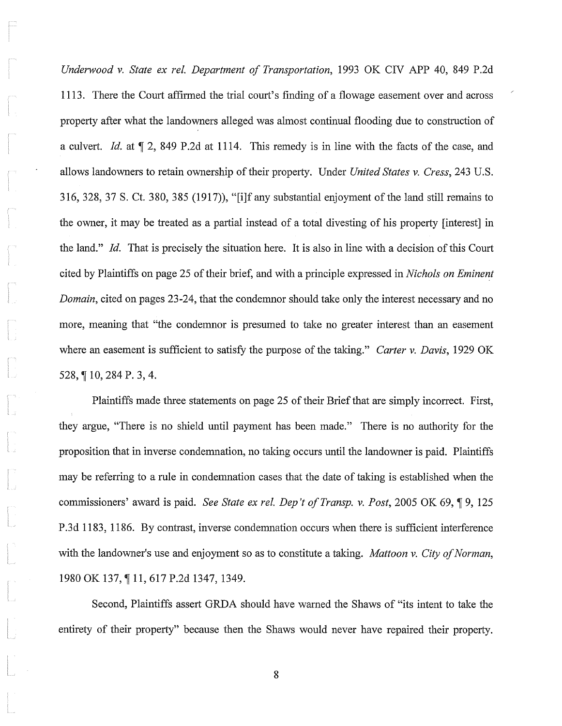*Underwood* v. *State ex reI. Department of Transportation,* 1993 OK CIV APP 40, 849 P.2d 1113. There the Court affirmed the trial court's finding of a flowage easement over and across property after what the landowners alleged was almost continual flooding due to construction of a culvert. *Id.* at  $\P$  2, 849 P.2d at 1114. This remedy is in line with the facts of the case, and allows landowners to retain ownership oftheir property. Under *United States* v. *Cress,* 243 U.S. 316, 328, 37 S. Ct. 380, 385 (1917)), "[i]f any substantial enjoyment of the land still remains to the owner, it may be treated as a partial instead of a total divesting of his property [interest] in the land." *Id.* That is precisely the situation here. It is also in line with a decision of this Court cited by Plaintiffs on page 25 of their brief, and with a principle expressed in *Nichols on Eminent Domain,* cited on pages 23-24, that the condemnor should take only the interest necessary and no more, meaning that "the condemnor is presumed to take no greater interest than an easement where an easement is sufficient to satisfy the purpose of the taking." *Carter* v. *Davis,* 1929 OK 528, ¶ 10, 284 P. 3, 4.

Plaintiffs made three statements on page 25 of their Brief that are simply incorrect. First, they argue, "There is no shield until payment has been made." There is no authority for the proposition that in inverse condemnation, no taking occurs until the landowner is paid. Plaintiffs may be referring to a rule in condemnation cases that the date of taking is established when the commissioners' award is paid. *See State ex rel. Dep't of Transp. v. Post*, 2005 OK 69, ¶ 9, 125 P.3d 1183, 1186. By contrast, inverse condemnation occurs when there is sufficient interference with the landowner's use and enjoyment so as to constitute a taking. *Mattoon* v. *City of Norman,*  1980 OK 137, ¶ 11, 617 P.2d 1347, 1349.

Second, Plaintiffs assert GRDA should have warned the Shaws of "its intent to take the entirety of their property" because then the Shaws would never have repaired their property.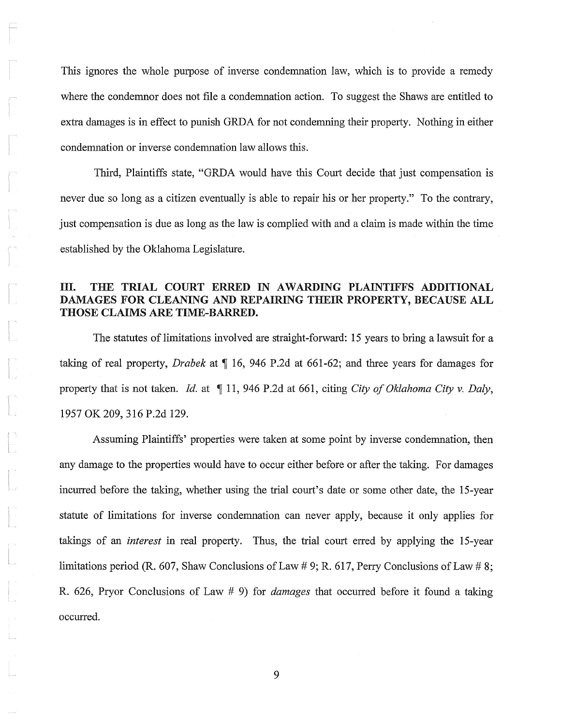This ignores the whole purpose of inverse condemnation law, which is to provide a remedy where the condemnor does not file a condemnation action. To suggest the Shaws are entitled to extra damages is in effect to punish GRDA for not condemning their property. Nothing in either condemnation or inverse condemnation law allows this.

Third, Plaintiffs state, "GRDA would have this Court decide that just compensation is never due so long as a citizen eventually is able to repair his or her property." To the contrary, just compensation is due as long as the law is complied with and a claim is made within the time established by the Oklahoma Legislature.

#### III. THE TRIAL COURT ERRED IN AWARDING PLAINTIFFS ADDITIONAL DAMAGES FOR CLEANING AND REPAIRING THEIR PROPERTY, BECAUSE ALL THOSE CLAIMS ARE TIME-BARRED.

The statutes of limitations involved are straight-forward: 15 years to bring a lawsuit for a taking of real property, *Drabek* at  $\P$  16, 946 P.2d at 661-62; and three years for damages for property that is not taken. *Id.* at  $\P$  11, 946 P.2d at 661, citing *City of Oklahoma City v. Daly*, 1957 OK 209,316 P.2d 129.

Assuming Plaintiffs' properties were taken at some point by inverse condemnation, then any damage to the properties would have to occur either before or after the taking. For damages incurred before the taking, whether using the trial court's date or some other date, the IS-year statute of limitations for inverse condemnation can never apply, because it only applies for takings of an *interest* in real property. Thus, the trial court erred by applying the IS-year limitations period (R. 607, Shaw Conclusions of Law # 9; R. 617, Perry Conclusions of Law # 8; R. 626, Pryor Conclusions of Law # 9) for *damages* that occurred before it found a taking occurred.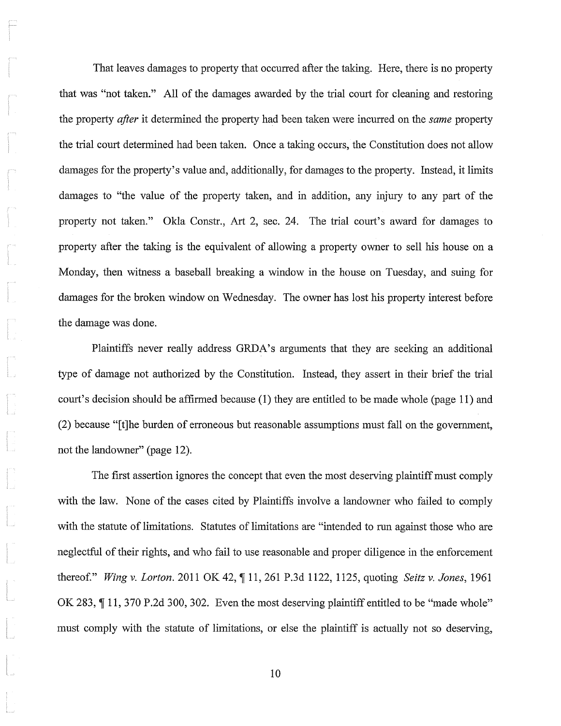That leaves damages to property that occurred after the taking. Here, there is no property that was "not taken." All of the damages awarded by the trial court for cleaning and restoring the property *after* it determined the property had been taken were incurred on the *same* property the trial court determined had been taken. Once a taking occurs, the Constitution does not allow damages for the property's value and, additionally, for damages to the property. Instead, it limits damages to "the value of the property taken, and in addition, any injury to any part of the property not taken." Okla Constr., Art 2, sec. 24. The trial court's award for damages to property after the taking is the equivalent of allowing a property owner to sell his house on a Monday, then witness a baseball breaking a window in the house on Tuesday, and suing for damages for the broken window on Wednesday. The owner has lost his property interest before the damage was done.

Plaintiffs never really address GRDA's arguments that they are seeking an additional type of damage not authorized by the Constitution. Instead, they assert in their brief the trial court's decision should be affirmed because (1) they are entitled to be made whole (page 11) and (2) because "[t]he burden of erroneous but reasonable assumptions must fall on the government, not the landowner" (page 12).

The first assertion ignores the concept that even the most deserving plaintiff must comply with the law. None of the cases cited by Plaintiffs involve a landowner who failed to comply with the statute of limitations. Statutes of limitations are "intended to run against those who are neglectful of their rights, and who fail to use reasonable and proper diligence in the enforcement thereof." *Wing v. Lorton.* 2011 OK 42, ¶ 11, 261 P.3d 1122, 1125, quoting *Seitz v. Jones*, 1961 OK 283,  $\P$  11, 370 P.2d 300, 302. Even the most deserving plaintiff entitled to be "made whole" must comply with the statute of limitations, or else the plaintiff is actually not so deserving,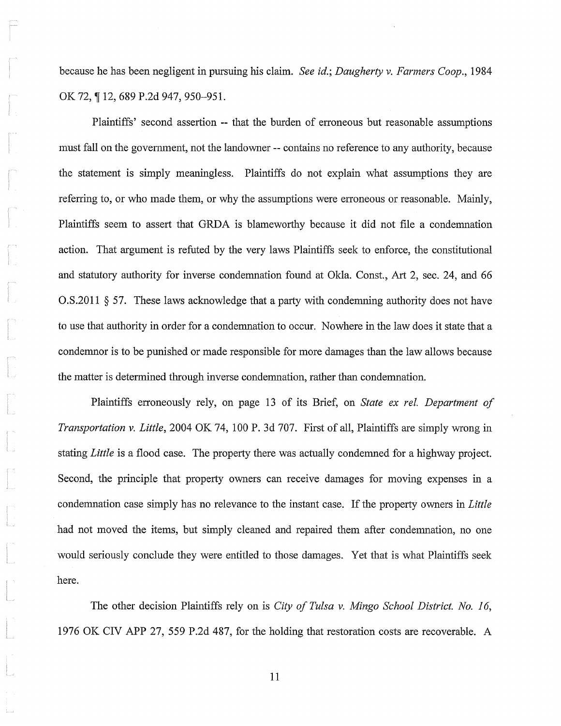because he has been negligent in pursuing his claim. *See id.; Daugherty* v. *Farmers Coop., 1984*  OK 72, ¶ 12, 689 P.2d 947, 950-951.

Plaintiffs' second assertion -- that the burden of erroneous but reasonable assumptions must fall on the govenunent, not the landowner **--** contains no reference to any authority, because the statement is simply meaningless. Plaintiffs do not explain what assumptions they are referring to, or who made them, or why the assumptions were erroneous or reasonable. Mainly, Plaintiffs seem to assert that GRDA is blameworthy because it did not file a condemnation action. That argument is refuted by the very laws Plaintiffs seek to enforce, the constitutional and statutory authority for inverse condemnation found at Okla. Const., Art 2, sec. 24, and 66  $0.5.2011 \S 57.$  These laws acknowledge that a party with condemning authority does not have to use that authority in order for a condemnation to occur. Nowhere in the law does it state that a condemnor is to be punished or made responsible for more damages than the law allows because the matter is determined through inverse condemnation, rather than condemnation.

Plaintiffs erroneously rely, on page 13 of its Brief, on *State ex rel. Department of Transportation* v. *Little,* 2004 OK 74, 100 P. 3d 707. First of all, Plaintiffs are simply wrong in stating *Little* is a flood case. The property there was actually condemned for a highway project. Second, the principle that property owners can receive damages for moving expenses in a condemnation case simply has no relevance to the instant case. If the property owners in *Little*  had not moved the items, but simply cleaned and repaired them after condemnation, no one would seriously conclude they were entitled to those damages. Yet that is what Plaintiffs seek here.

The other decision Plaintiffs rely on is *City of Tulsa* v. *Mingo School District. No. 16,*  1976 OK CIV APP 27, 559 P.2d 487, for the holding that restoration costs are recoverable. A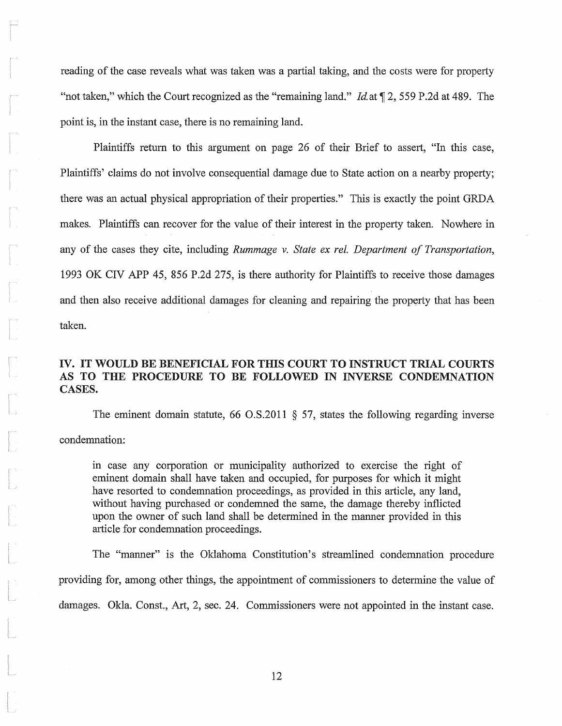reading of the case reveals what was taken was a partial taking, and the costs were for property "not taken," which the Court recognized as the "remaining land." *Id.* at 12, 559 P.2d at 489. The point is, in the instant case, there is no remaining land.

Plaintiffs return to this argument on page 26 of their Brief to assert, "In this case, Plaintiffs' claims do not involve consequential damage due to State action on a nearby property; there was an actual physical appropriation of their properties." This is exactly the point GRDA makes. Plaintiffs can recover for the value of their interest in the property taken. Nowhere in any of the cases they cite, including *Rummage v. State ex rel. Department of Transportation*, 1993 OK ClV APP 45, 856 P.2d 275, is there authority for Plaintiffs to receive those damages and then also receive additional damages for cleaning and repairing the property that has been taken.

### IV. IT WOULD BE BENEFICIAL FOR THIS COURT TO INSTRUCT TRIAL COURTS AS TO THE PROCEDURE TO BE FOLLOWED IN INVERSE CONDEMNATION CASES.

The eminent domain statute, 66  $\text{O.S.}2011 \text{ } \text{\&} 57$ , states the following regarding inverse condemnation:

in case any corporation or municipality authorized to exercise the right of eminent domain shall have taken and occupied, for purposes for which it might have resorted to condemnation proceedings, as provided in this article, any land, without having purchased or condemned the same, the damage thereby inflicted upon the owner of such land shall be determined in the manner provided in this article for condemnation proceedings.

The "manner" is the Oklahoma Constitution's streamlined condemnation procedure providing for, among other things, the appointment of commissioners to determine the value of damages. Okla. Const., Art, 2, sec. 24. Commissioners were not appointed in the instant case.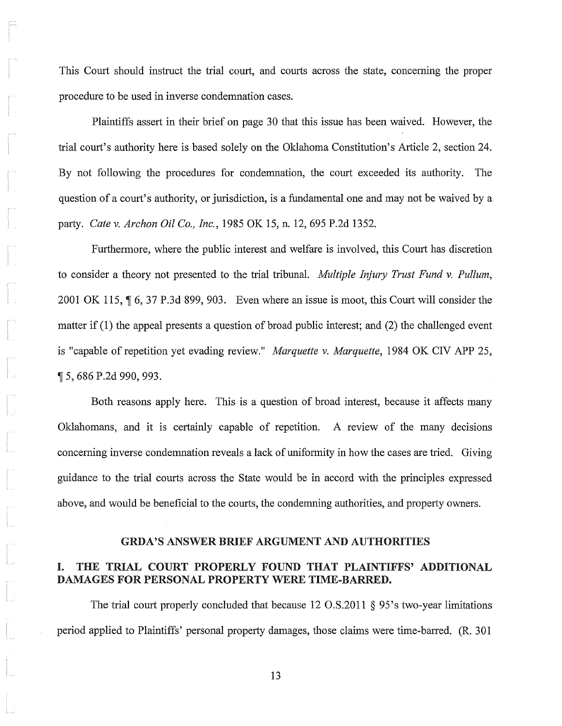This Court should instruct the trial court, and courts across the state, concerning the proper procedure to be used in inverse condemnation cases.

Plaintiffs assert in their brief on page 30 that this issue has been waived. However, the trial court's authority here is based solely on the Oklahoma Constitution's Article 2, section 24. By not following the procedures for condemnation, the court exceeded its authority. The question of a court's authority, or jurisdiction, is a fundamental one and may not be waived by a pruiy. *Cate* v. *Archon Oil Co., Inc.,* 1985 OK 15, n. 12,695 P.2d 1352.

Furthennore, where the public interest and welfare is involved, this Court has discretion to consider a theory not presented to the trial tribunal. *Multiple Injury Trust Fund* v. *Pullum,*  2001 OK 115,  $\P$  6, 37 P.3d 899, 903. Even where an issue is moot, this Court will consider the matter if (1) the appeal presents a question of broad public interest; and (2) the challenged event is "capable of repetition yet evading review." *Marquette* v. *Marquette,* 1984 OK CIV APP 25, ,-r 5,686 P.2d 990,993.

Both reasons apply here. This is a question of broad interest, because it affects many Oklahomans, and it is certainly capable of repetition. A review of the many decisions concerning inverse condemnation reveals a lack of unifonnity in how the cases are tried. Giving guidance to the trial courts across the State would be in accord with the principles expressed above, and would be beneficial to the courts, the condemning authorities, and property owners.

#### GRDA'S ANSWER BRIEF ARGUMENT AND AUTHORITIES

#### I. THE TRIAL COURT PROPERLY FOUND THAT PLAINTIFFS' ADDITIONAL DAMAGES FOR PERSONAL PROPERTY WERE TIME-BARRED.

The trial court properly concluded that because 12 O.S.2011 § 95's two-year limitations period applied to Plaintiffs' personal property damages, those claims were time-barred. (R. 301)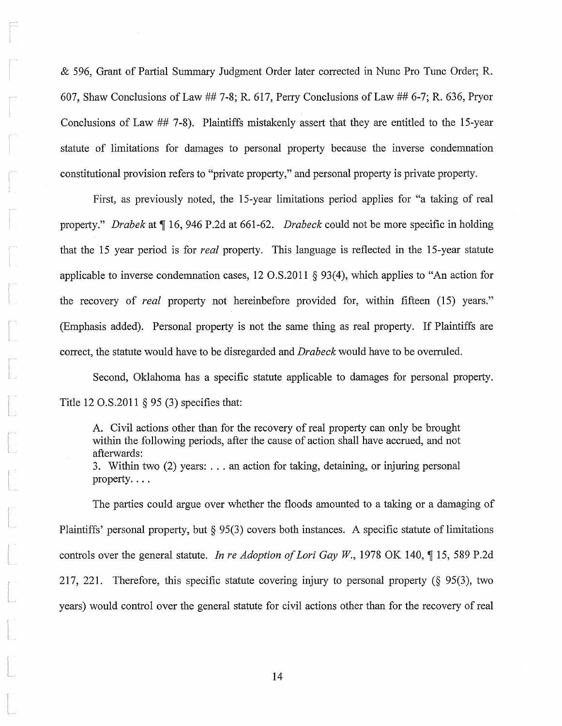& 596, Grant of Partial Summary Judgment Order later corrected in Nunc Pro Tunc Order; R. 607, Shaw Conclusions of Law ## 7-8; R. 617, Perry Conclusions of Law ## 6-7; R. 636, Pryor Conclusions of Law ## 7-8). Plaintiffs mistakenly assert that they are entitled to the IS-year statute of limitations for damages to personal property because the inverse condemnation constitutional provision refers to "private property," and personal property is private property.

First, as previously noted, the IS-year limitations period applies for "a taking of real property." *Drabek* at  $\P$  16, 946 P.2d at 661-62. *Drabeck* could not be more specific in holding that the 15 year period is for *real* property. This language is reflected in the IS-year statute applicable to inverse condemnation cases, 12 O.S.2011 § 93(4), which applies to "An action for the recovery of *real* property not hereinbefore provided for, within fifteen (15) years." (Emphasis added). Personal property is not the same thing as real property. If Plaintiffs are correct, the statute would have to be disregarded and *Drabeck* would have to be overruled.

Second, Oklahoma has a specific statute applicable to damages for personal property. Title 12 O.S.2011 § 95 (3) specifies that:

A. Civil actions other than for the recovery of real property can only be brought within the following periods, after the cause of action shall have accrued, and not afterwards:

3. Within two (2) years: ... an action for taking, detaining, or injuring personal property....

The parties could argue over whether the floods amounted to a taking or a damaging of Plaintiffs' personal property, but  $\S 95(3)$  covers both instances. A specific statute of limitations controls over the general statute. *In re Adoption of Lori Gay W.*, 1978 OK 140,  $\P$  15, 589 P.2d 217, 221. Therefore, this specific statute covering injury to personal property ( $\S$  95(3), two years) would control over the general statute for civil actions other than for the recovery of real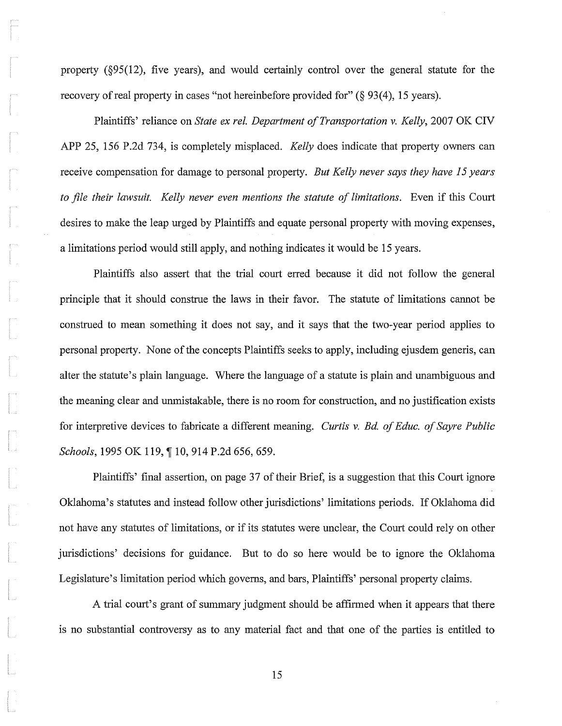property (§95(l2), five years), and would certainly control over the general statute for the recovery of real property in cases "not hereinbefore provided for" (§ 93(4), 15 years).

Plaintiffs' reliance on *State ex rel. Department of Transportation v. Kelly,* 2007 OK CIV APP 25, 156 P.2d 734, is completely misplaced. *Kelly* does indicate that property owners can receive compensation for damage to personal property. *But Kelly never says they have* 15 *years*  to file their lawsuit. Kelly never even mentions the statute of limitations. Even if this Court desires to make the leap urged by Plaintiffs and equate personal property with moving expenses, a limitations period would still apply, and nothing indicates it would be 15 years.

Plaintiffs also assert that the trial court erred because it did not follow the general principle that it should construe the laws in their favor. The statute of limitations cannot be construed to mean something it does not say, and it says that the two-year period applies to personal property. None of the concepts Plaintiffs seeks to apply, including ejusdem generis, can alter the statute's plain language. Where the language of a statute is plain and unambiguous and the meaning clear and umnistakable, there is no room for construction, and no justification exists for interpretive devices to fabricate a different meaning. *Curtis* v. *Bd. 0/ Educ. 0/ Sayre Public Schools*, 1995 OK 119, ¶ 10, 914 P.2d 656, 659.

Plaintiffs' final assertion, on page 37 of their Brief, is a suggestion that this Court ignore Oklahoma's statutes and instead follow other jurisdictions' limitations periods. If Oklahoma did not have any statutes of limitations, or if its statutes were unclear, the Court could rely on other jurisdictions' decisions for guidance. But to do so here would be to ignore the Oldahoma Legislature's limitation period which govems, and bars, Plaintiffs' personal property claims.

A trial court's grant of summary judgment should be affirmed when it appears that there is no substantial controversy as to any material fact and that one of the parties is entitled to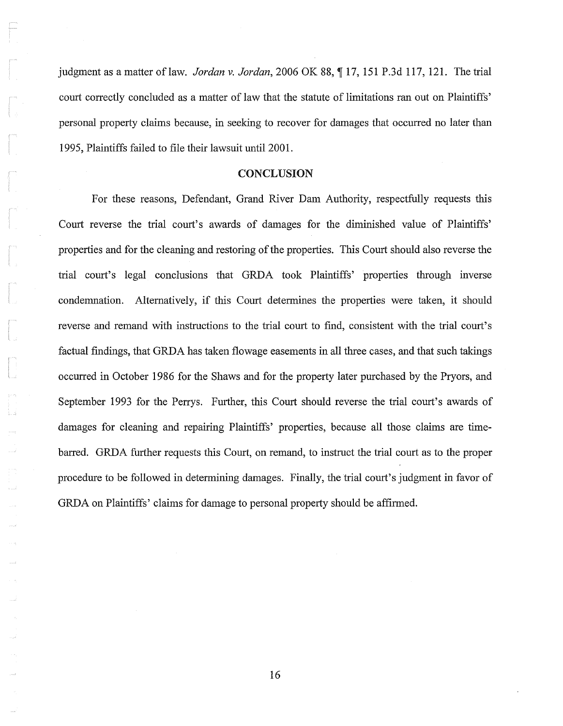judgment as a matter of law. *Jordan v. Jordan*, 2006 OK 88, 17, 151 P.3d 117, 121. The trial court correctly concluded as a matter of law that the statute of limitations ran out on Plaintiffs' personal property claims because, in seeking to recover for damages that occurred no later than 1995, Plaintiffs failed to file their lawsuit until 2001.

#### **CONCLUSION**

For these reasons, Defendant, Grand River Dam Authority, respectfully requests this Court reverse the trial court's awards of damages for the diminished value of Plaintiffs' properties and for the cleaning and restoring of the properties. This Court should also reverse the trial court's legal conclusions that GRDA took Plaintiffs' properties through inverse condemnation. Alternatively, if this Court determines the properties were taken, it should reverse and remand with instructions to the trial court to find, consistent with the trial court's factual findings, that GRDA has taken flowage easements in all three cases, and that such takings occurred in October 1986 for the Shaws and for the property later purchased by the Pryors, and September 1993 for the Perrys. Further, this Court should reverse the trial court's awards of damages for cleaning and repairing Plaintiffs' properties, because all those claims are timebarred. GRDA further requests this Court, on remand, to instruct the trial court as to the proper procedure to be followed in determining damages. Finally, the trial court's judgment in favor of GRDA on Plaintiffs' claims for damage to personal property should be affirmed.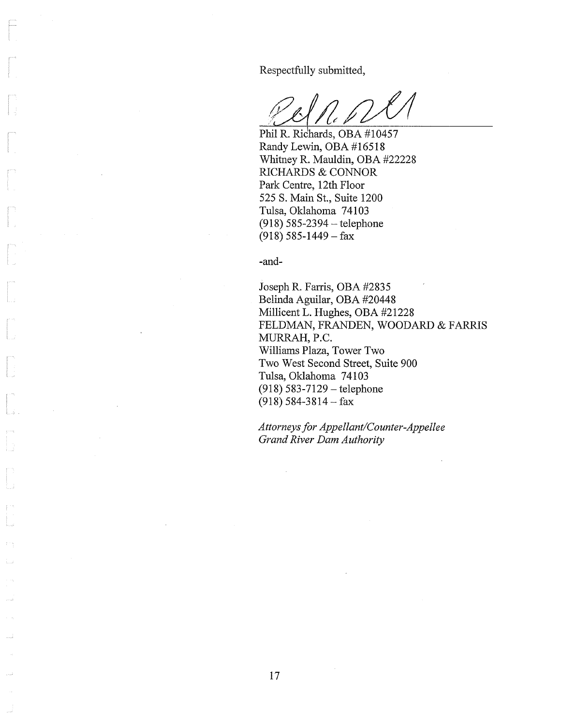Respectfully submitted,

Phil R. Richards, OBA #10457 Randy Lewin, OBA #16518 Whitney R. Mauldin, OBA #22228 RICHARDS & CONNOR Park Centre, 12th Floor 525 S. Main St., Suite 1200 Tulsa, Oklahoma 74103  $(918) 585 - 2394 - 1$ elephone  $(918)$  585-1449 – fax

-and-

Joseph R. Farris, OBA #2835 Belinda Aguilar, OBA #20448 Millicent L. Hughes, OBA #21228 FELDMAN, FRANDEN, WOODARD & FARRIS MURRAH, P.C. Williams Plaza, Tower Two Two West Second Street, Suite 900 Tulsa, Oklahoma 74103 (918) 583-7129 - telephone (918) 584-3814 - fax

*Attorneys for Appellant/Counter-Appellee Grand River Dam Authority*